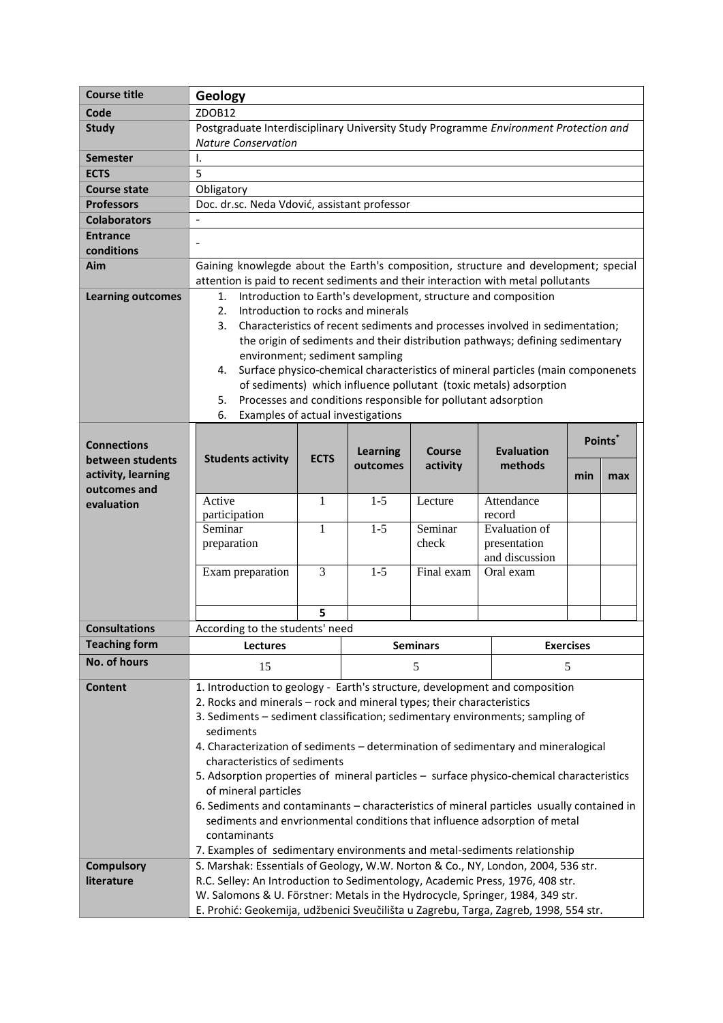| <b>Course title</b>      | Geology                                                                                  |                                                                                           |                 |               |                      |                     |     |  |
|--------------------------|------------------------------------------------------------------------------------------|-------------------------------------------------------------------------------------------|-----------------|---------------|----------------------|---------------------|-----|--|
| Code                     | ZDOB12                                                                                   |                                                                                           |                 |               |                      |                     |     |  |
| <b>Study</b>             | Postgraduate Interdisciplinary University Study Programme Environment Protection and     |                                                                                           |                 |               |                      |                     |     |  |
|                          | <b>Nature Conservation</b>                                                               |                                                                                           |                 |               |                      |                     |     |  |
| <b>Semester</b>          | Ι.                                                                                       |                                                                                           |                 |               |                      |                     |     |  |
| <b>ECTS</b>              | 5                                                                                        |                                                                                           |                 |               |                      |                     |     |  |
| <b>Course state</b>      | Obligatory                                                                               |                                                                                           |                 |               |                      |                     |     |  |
| <b>Professors</b>        | Doc. dr.sc. Neda Vdović, assistant professor                                             |                                                                                           |                 |               |                      |                     |     |  |
| <b>Colaborators</b>      |                                                                                          |                                                                                           |                 |               |                      |                     |     |  |
| <b>Entrance</b>          |                                                                                          |                                                                                           |                 |               |                      |                     |     |  |
| conditions               |                                                                                          |                                                                                           |                 |               |                      |                     |     |  |
| Aim                      | Gaining knowlegde about the Earth's composition, structure and development; special      |                                                                                           |                 |               |                      |                     |     |  |
|                          | attention is paid to recent sediments and their interaction with metal pollutants        |                                                                                           |                 |               |                      |                     |     |  |
| <b>Learning outcomes</b> | Introduction to Earth's development, structure and composition<br>1.                     |                                                                                           |                 |               |                      |                     |     |  |
|                          | Introduction to rocks and minerals<br>2.                                                 |                                                                                           |                 |               |                      |                     |     |  |
|                          | 3.<br>Characteristics of recent sediments and processes involved in sedimentation;       |                                                                                           |                 |               |                      |                     |     |  |
|                          | the origin of sediments and their distribution pathways; defining sedimentary            |                                                                                           |                 |               |                      |                     |     |  |
|                          | environment; sediment sampling                                                           |                                                                                           |                 |               |                      |                     |     |  |
|                          | Surface physico-chemical characteristics of mineral particles (main componenets<br>4.    |                                                                                           |                 |               |                      |                     |     |  |
|                          | of sediments) which influence pollutant (toxic metals) adsorption                        |                                                                                           |                 |               |                      |                     |     |  |
|                          | Processes and conditions responsible for pollutant adsorption<br>5.                      |                                                                                           |                 |               |                      |                     |     |  |
|                          | Examples of actual investigations<br>6.                                                  |                                                                                           |                 |               |                      |                     |     |  |
|                          |                                                                                          |                                                                                           |                 |               |                      |                     |     |  |
| <b>Connections</b>       |                                                                                          |                                                                                           | <b>Learning</b> | <b>Course</b> | <b>Evaluation</b>    | Points <sup>®</sup> |     |  |
| between students         | <b>Students activity</b>                                                                 | <b>ECTS</b>                                                                               | outcomes        | activity      | methods              |                     |     |  |
| activity, learning       |                                                                                          |                                                                                           |                 |               |                      | min                 | max |  |
| outcomes and             | Active                                                                                   | 1                                                                                         | $1 - 5$         | Lecture       | Attendance           |                     |     |  |
| evaluation               | participation                                                                            |                                                                                           |                 |               | record               |                     |     |  |
|                          | Seminar                                                                                  | 1                                                                                         | $1 - 5$         | Seminar       | <b>Evaluation</b> of |                     |     |  |
|                          | preparation                                                                              |                                                                                           |                 | check         | presentation         |                     |     |  |
|                          |                                                                                          |                                                                                           |                 |               | and discussion       |                     |     |  |
|                          | Exam preparation                                                                         | 3                                                                                         | $1-5$           | Final exam    | Oral exam            |                     |     |  |
|                          |                                                                                          |                                                                                           |                 |               |                      |                     |     |  |
|                          |                                                                                          |                                                                                           |                 |               |                      |                     |     |  |
|                          |                                                                                          | 5                                                                                         |                 |               |                      |                     |     |  |
| <b>Consultations</b>     | According to the students' need                                                          |                                                                                           |                 |               |                      |                     |     |  |
| <b>Teaching form</b>     | <b>Seminars</b><br><b>Exercises</b><br><b>Lectures</b>                                   |                                                                                           |                 |               |                      |                     |     |  |
| No. of hours             | 15                                                                                       |                                                                                           |                 | 5             |                      | 5                   |     |  |
| <b>Content</b>           |                                                                                          | 1. Introduction to geology - Earth's structure, development and composition               |                 |               |                      |                     |     |  |
|                          | 2. Rocks and minerals - rock and mineral types; their characteristics                    |                                                                                           |                 |               |                      |                     |     |  |
|                          | 3. Sediments - sediment classification; sedimentary environments; sampling of            |                                                                                           |                 |               |                      |                     |     |  |
|                          | sediments                                                                                |                                                                                           |                 |               |                      |                     |     |  |
|                          | 4. Characterization of sediments - determination of sedimentary and mineralogical        |                                                                                           |                 |               |                      |                     |     |  |
|                          | characteristics of sediments                                                             |                                                                                           |                 |               |                      |                     |     |  |
|                          | 5. Adsorption properties of mineral particles - surface physico-chemical characteristics |                                                                                           |                 |               |                      |                     |     |  |
|                          | of mineral particles                                                                     |                                                                                           |                 |               |                      |                     |     |  |
|                          |                                                                                          | 6. Sediments and contaminants - characteristics of mineral particles usually contained in |                 |               |                      |                     |     |  |
|                          |                                                                                          | sediments and envrionmental conditions that influence adsorption of metal                 |                 |               |                      |                     |     |  |
|                          | contaminants                                                                             |                                                                                           |                 |               |                      |                     |     |  |
|                          |                                                                                          | 7. Examples of sedimentary environments and metal-sediments relationship                  |                 |               |                      |                     |     |  |
| <b>Compulsory</b>        | S. Marshak: Essentials of Geology, W.W. Norton & Co., NY, London, 2004, 536 str.         |                                                                                           |                 |               |                      |                     |     |  |
| literature               | R.C. Selley: An Introduction to Sedimentology, Academic Press, 1976, 408 str.            |                                                                                           |                 |               |                      |                     |     |  |
|                          | W. Salomons & U. Förstner: Metals in the Hydrocycle, Springer, 1984, 349 str.            |                                                                                           |                 |               |                      |                     |     |  |
|                          | E. Prohić: Geokemija, udžbenici Sveučilišta u Zagrebu, Targa, Zagreb, 1998, 554 str.     |                                                                                           |                 |               |                      |                     |     |  |